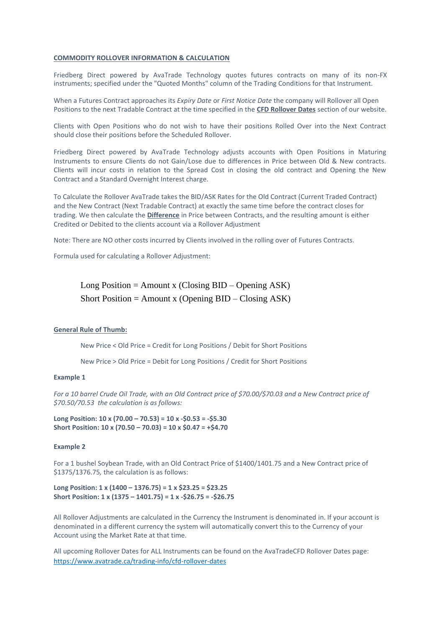## **COMMODITY ROLLOVER INFORMATION & CALCULATION**

Friedberg Direct powered by AvaTrade Technology quotes futures contracts on many of its non-FX instruments; specified under the "Quoted Months" column of the Trading Conditions for that Instrument.

When a Futures Contract approaches its *Expiry Date* or *First Notice Date* the company will Rollover all Open Positions to the next Tradable Contract at the time specified in the **CFD Rollover Dates** section of our website.

Clients with Open Positions who do not wish to have their positions Rolled Over into the Next Contract should close their positions before the Scheduled Rollover.

Friedberg Direct powered by AvaTrade Technology adjusts accounts with Open Positions in Maturing Instruments to ensure Clients do not Gain/Lose due to differences in Price between Old & New contracts. Clients will incur costs in relation to the Spread Cost in closing the old contract and Opening the New Contract and a Standard Overnight Interest charge.

To Calculate the Rollover AvaTrade takes the BID/ASK Rates for the Old Contract (Current Traded Contract) and the New Contract (Next Tradable Contract) at exactly the same time before the contract closes for trading. We then calculate the **Difference** in Price between Contracts, and the resulting amount is either Credited or Debited to the clients account via a Rollover Adjustment

Note: There are NO other costs incurred by Clients involved in the rolling over of Futures Contracts.

Formula used for calculating a Rollover Adjustment:

Long Position = Amount x (Closing  $BID -$ Opening  $ASK$ ) Short Position = Amount x (Opening  $BID - Closing ASK$ )

## **General Rule of Thumb:**

New Price < Old Price = Credit for Long Positions / Debit for Short Positions

New Price > Old Price = Debit for Long Positions / Credit for Short Positions

## **Example 1**

*For a 10 barrel Crude Oil Trade, with an Old Contract price of \$70.00/\$70.03 and a New Contract price of \$70.50/70.53 the calculation is as follows:*

**Long Position: 10 x (70.00 – 70.53) = 10 x -\$0.53 = -\$5.30 Short Position: 10 x (70.50 – 70.03) = 10 x \$0.47 = +\$4.70**

## **Example 2**

For a 1 bushel Soybean Trade, with an Old Contract Price of \$1400/1401.75 and a New Contract price of \$1375/1376.75*,* the calculation is as follows:

**Long Position: 1 x (1400 – 1376.75) = 1 x \$23.25 = \$23.25 Short Position: 1 x (1375 – 1401.75) = 1 x -\$26.75 = -\$26.75**

All Rollover Adjustments are calculated in the Currency the Instrument is denominated in. If your account is denominated in a different currency the system will automatically convert this to the Currency of your Account using the Market Rate at that time.

All upcoming Rollover Dates for ALL Instruments can be found on the AvaTradeCFD Rollover Dates page: <https://www.avatrade.ca/trading-info/cfd-rollover-dates>